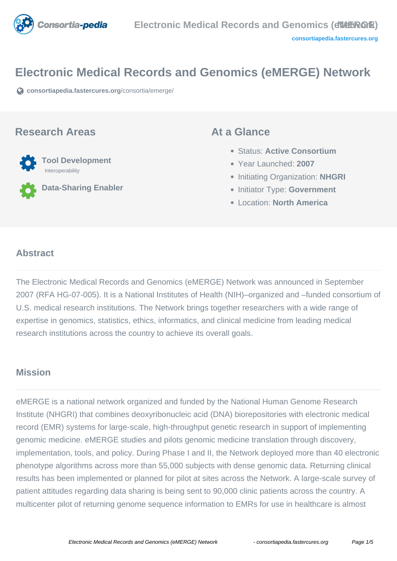

## **Electronic Medical Records and Genomics (eMERGE) Network**

**[consortiapedia.fastercures.org](https://consortiapedia.fastercures.org/consortia/emerge/)**[/consortia/emerge/](https://consortiapedia.fastercures.org/consortia/emerge/)

#### **Research Areas**



**Data-Sharing Enabler**

#### **At a Glance**

- Status: **Active Consortium**
- Year Launched: **2007**
- **Initiating Organization: NHGRI**
- **Initiator Type: Government**
- Location: **North America**

#### $\overline{a}$ **Abstract**

The Electronic Medical Records and Genomics (eMERGE) Network was announced in September 2007 (RFA HG-07-005). It is a National Institutes of Health (NIH)–organized and –funded consortium of U.S. medical research institutions. The Network brings together researchers with a wide range of expertise in genomics, statistics, ethics, informatics, and clinical medicine from leading medical research institutions across the country to achieve its overall goals.

#### **Mission**

eMERGE is a national network organized and funded by the National Human Genome Research Institute (NHGRI) that combines deoxyribonucleic acid (DNA) biorepositories with electronic medical record (EMR) systems for large-scale, high-throughput genetic research in support of implementing genomic medicine. eMERGE studies and pilots genomic medicine translation through discovery, implementation, tools, and policy. During Phase I and II, the Network deployed more than 40 electronic phenotype algorithms across more than 55,000 subjects with dense genomic data. Returning clinical results has been implemented or planned for pilot at sites across the Network. A large-scale survey of patient attitudes regarding data sharing is being sent to 90,000 clinic patients across the country. A multicenter pilot of returning genome sequence information to EMRs for use in healthcare is almost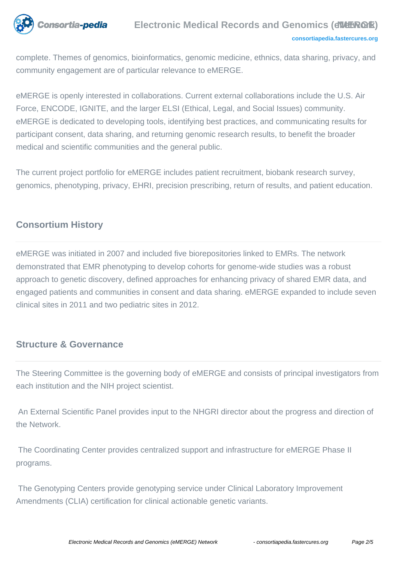

complete. Themes of genomics, bioinformatics, genomic medicine, ethnics, data sharing, privacy, and community engagement are of particular relevance to eMERGE.

eMERGE is openly interested in collaborations. Current external collaborations include the U.S. Air Force, ENCODE, IGNITE, and the larger ELSI (Ethical, Legal, and Social Issues) community. eMERGE is dedicated to developing tools, identifying best practices, and communicating results for participant consent, data sharing, and returning genomic research results, to benefit the broader medical and scientific communities and the general public.

The current project portfolio for eMERGE includes patient recruitment, biobank research survey, genomics, phenotyping, privacy, EHRI, precision prescribing, return of results, and patient education.

# **Consortium History**

eMERGE was initiated in 2007 and included five biorepositories linked to EMRs. The network demonstrated that EMR phenotyping to develop cohorts for genome-wide studies was a robust approach to genetic discovery, defined approaches for enhancing privacy of shared EMR data, and engaged patients and communities in consent and data sharing. eMERGE expanded to include seven clinical sites in 2011 and two pediatric sites in 2012.

#### **Structure & Governance**

The Steering Committee is the governing body of eMERGE and consists of principal investigators from each institution and the NIH project scientist.

 An External Scientific Panel provides input to the NHGRI director about the progress and direction of the Network.

 The Coordinating Center provides centralized support and infrastructure for eMERGE Phase II programs.

 The Genotyping Centers provide genotyping service under Clinical Laboratory Improvement Amendments (CLIA) certification for clinical actionable genetic variants.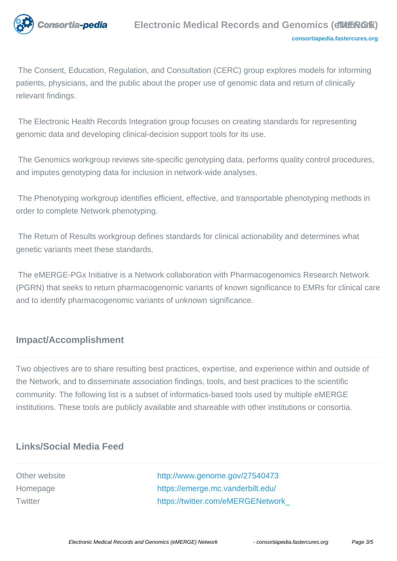

 The Consent, Education, Regulation, and Consultation (CERC) group explores models for informing patients, physicians, and the public about the proper use of genomic data and return of clinically relevant findings.

 The Electronic Health Records Integration group focuses on creating standards for representing genomic data and developing clinical-decision support tools for its use.

 The Genomics workgroup reviews site-specific genotyping data, performs quality control procedures, and imputes genotyping data for inclusion in network-wide analyses.

 The Phenotyping workgroup identifies efficient, effective, and transportable phenotyping methods in order to complete Network phenotyping.

 The Return of Results workgroup defines standards for clinical actionability and determines what genetic variants meet these standards.

 The eMERGE-PGx Initiative is a Network collaboration with Pharmacogenomics Research Network (PGRN) that seeks to return pharmacogenomic variants of known significance to EMRs for clinical care and to identify pharmacogenomic variants of unknown significance.

## **Impact/Accomplishment**

Two objectives are to share resulting best practices, expertise, and experience within and outside of the Network, and to disseminate association findings, tools, and best practices to the scientific community. The following list is a subset of informatics-based tools used by multiple eMERGE institutions. These tools are publicly available and shareable with other institutions or consortia.

# **Links/Social Media Feed**

Other website <http://www.genome.gov/27540473> Homepage <https://emerge.mc.vanderbilt.edu/> Twitter [https://twitter.com/eMERGENetwork\\_](https://twitter.com/eMERGENetwork_)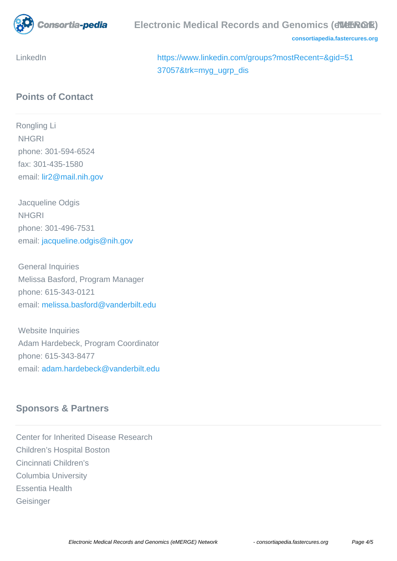

**[consortiapedia.fastercures.org](http://consortiapedia.fastercures.org/)**

LinkedIn [https://www.linkedin.com/groups?mostRecent=&gid=51](https://www.linkedin.com/groups?mostRecent=&gid=5137057&trk=myg_ugrp_dis) [37057&trk=myg\\_ugrp\\_dis](https://www.linkedin.com/groups?mostRecent=&gid=5137057&trk=myg_ugrp_dis)

## **Points of Contact**

Rongling Li **NHGRI**  phone: 301-594-6524 fax: 301-435-1580 email[: lir2@mail.nih.gov](mailto:lir2@mail.nih.gov)

 Jacqueline Odgis **NHGRI**  phone: 301-496-7531 email: [jacqueline.odgis@nih.gov](mailto:jacqueline.odgis@nih.gov)

 General Inquiries Melissa Basford, Program Manager phone: 615-343-0121 email: [melissa.basford@vanderbilt.edu](mailto:melissa.basford@vanderbilt.edu)

 Website Inquiries Adam Hardebeck, Program Coordinator phone: 615-343-8477 email: [adam.hardebeck@vanderbilt.edu](mailto:adam.hardebeck@vanderbilt.edu)

## **Sponsors & Partners**

Center for Inherited Disease Research Children's Hospital Boston Cincinnati Children's Columbia University Essentia Health **Geisinger**